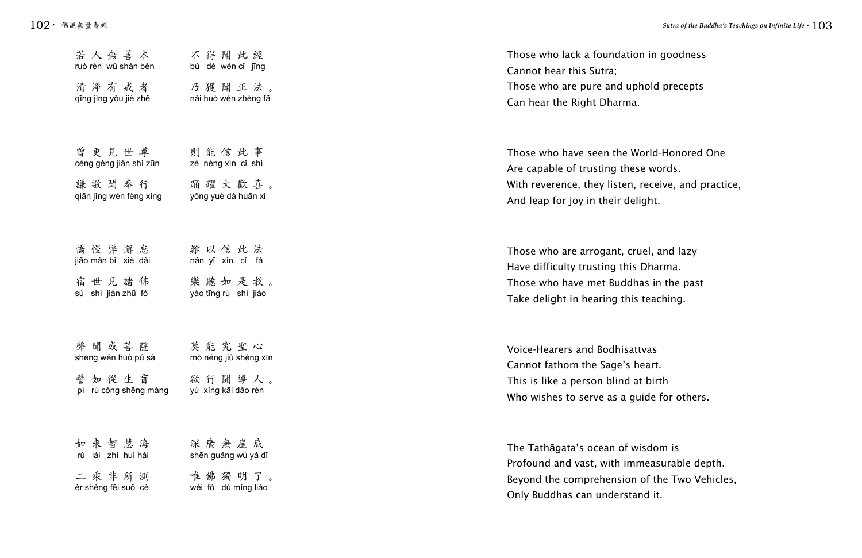| 若人無善本                   | 不得聞此經                 | Those who lack a foundation in g      |
|-------------------------|-----------------------|---------------------------------------|
| ruò rén wú shàn běn     | bù dé wén cǐ jīng     | Cannot hear this Sutra;               |
| 清淨有戒者                   | 乃獲聞正法。                | Those who are pure and uphold         |
| qīng jìng yǒu jiè zhě   | năi huò wén zhèng fǎ  | Can hear the Right Dharma.            |
| 曾更見世尊                   | 則能信此事                 | Those who have seen the World-        |
| céng gèng jiàn shì zūn  | zé néng xìn cỉ shì    | Are capable of trusting these wor     |
| 謙敬聞奉行                   | 踊躍大歡喜。                | With reverence, they listen, received |
| qiān jìng wén fèng xíng | yǒng yuè dà huān xǐ   | And leap for joy in their delight.    |
| 憍慢弊懈怠                   | 難以信此法                 | Those who are arrogant, cruel, a      |
| jiāo màn bì xiè dài     | nán yǐ xìn cǐ fǎ      | Have difficulty trusting this Dhar    |
| 宿世見諸佛                   | 樂聽如是教。                | Those who have met Buddhas in         |
| sù shì jiàn zhū fó      | yào tīng rú shì jiào  | Take delight in hearing this teach    |
| 聲聞或菩薩                   | 莫能究聖心                 | Voice-Hearers and Bodhisattvas        |
| shēng wén huò pú sà     | mò néng jiù shèng xīn | Cannot fathom the Sage's heart.       |
| 譬如從生盲                   | 欲行開導人。                | This is like a person blind at birt   |
| pì rú cóng shēng máng   | yù xíng kāi dǎo rén   | Who wishes to serve as a guide fo     |
| 如來智慧海                   | 深廣無崖底                 | The Tathāgata's ocean of wisdon       |
| rú lái zhì huì hǎi      | shēn guǎng wú yá dǐ   | Profound and vast, with immeasu       |
| 二乘非所測                   | 唯佛獨明了。                | Beyond the comprehension of the       |
| èr shèng fēi suǒ cè     | wéi fó dú míng liǎo   | Only Buddhas can understand it.       |

on in goodness

hold precepts

/orld-Honored One se words. receive, and practice, ight.

uel, and lazy<sup>.</sup> Dharma. nas in the past teaching.

t**tvas** eart. at birth ide for others.

isdom is measurable depth. of the Two Vehicles,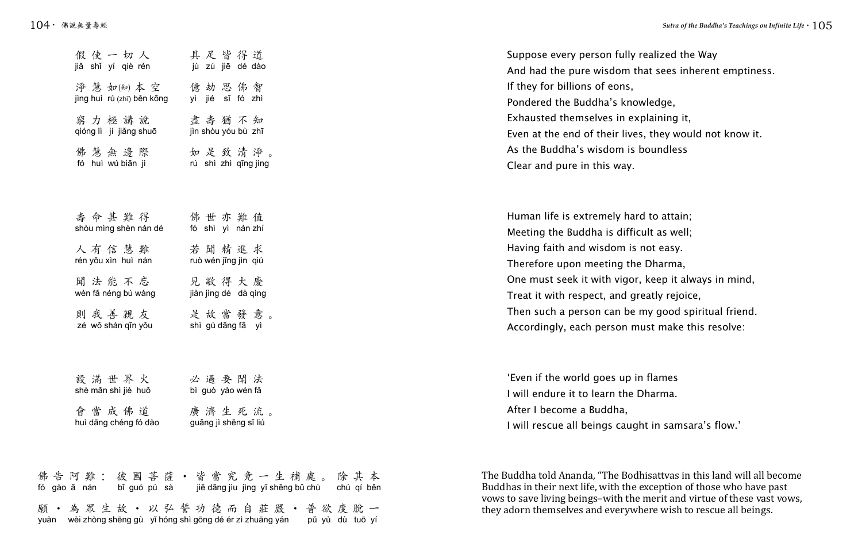Suppose every person fully realized the Way And had the pure wisdom that sees inherent emptiness. If they for billions of eons, Pondered the Buddha's knowledge, Exhausted themselves in explaining it, Even at the end of their lives, they would not know it. As the Buddha's wisdom is boundless Clear and pure in this way.

Human life is extremely hard to attain; Meeting the Buddha is difficult as well; Having faith and wisdom is not easy. Therefore upon meeting the Dharma, One must seek it with vigor, keep it always in mind, Treat it with respect, and greatly rejoice, Then such a person can be my good spiritual friend. Accordingly, each person must make this resolve:

'Even if the world goes up in flames I will endure it to learn the Dharma. After I become a Buddha, I will rescue all beings caught in samsara's flow.'

| 假使一切人                      | 具足皆得道                 |
|----------------------------|-----------------------|
| jiǎ shǐ yí qiè rén         | jù zú jiē dé dào      |
| 淨 慧 如(知) 本 空               | 億劫思佛智                 |
| jìng huì rú (zhī) běn kōng | yì jié sī fó zhì      |
| 窮力極講說                      | 盡壽猶不知                 |
| qióng lì jí jiǎng shuō     | jìn shòu yóu bù zhī   |
| 佛慧無邊際                      | 如是致清淨。                |
| fó huì wú biān jì          | rú shì zhì qīng jìng  |
|                            |                       |
| 壽命甚難得                      | 佛世亦難值                 |
| shòu mìng shèn nán dé      | fó shì yì nán zhí     |
| 人有信慧難                      | 若聞精進求                 |
| rén yǒu xìn huì nán        | ruò wén jīng jìn qiú  |
| 聞法能不忘                      | 見敬得大慶                 |
| wén fǎ néng bú wàng        | jiàn jìng dé dà qìng  |
| 則我善親友                      | 是故當發意。                |
| zé wǒ shàn qīn yǒu         | shì gù dāng fā yì     |
|                            |                       |
| 設滿世界火                      | 必 過 要 聞 法             |
| shè mǎn shì jiè huǒ        | bì guò yào wén fǎ     |
| 會當成佛道                      | 廣濟生死流。                |
| huì dāng chéng fó dào      | guǎng jì shēng sǐ liú |
|                            |                       |

佛告阿難:彼國菩薩·皆當究竟一生補處。除其本 願·為眾生故·以弘誓功德而自莊嚴·普欲度脫一 fó gào ā nán bǐ guó pú sà jiē dāng jìu jìng yī shēng bǔ chù chú qí běn yuàn wèi zhòng shēng gù yǐ hóng shì gōng dé ér zì zhuāng yán pǔ yù dù tuō yí

The Buddha told Ananda, "The Bodhisattvas in this land will all become Buddhas in their next life, with the exception of those who have past vows to save living beings–with the merit and virtue of these vast vows, they adorn themselves and everywhere wish to rescue all beings.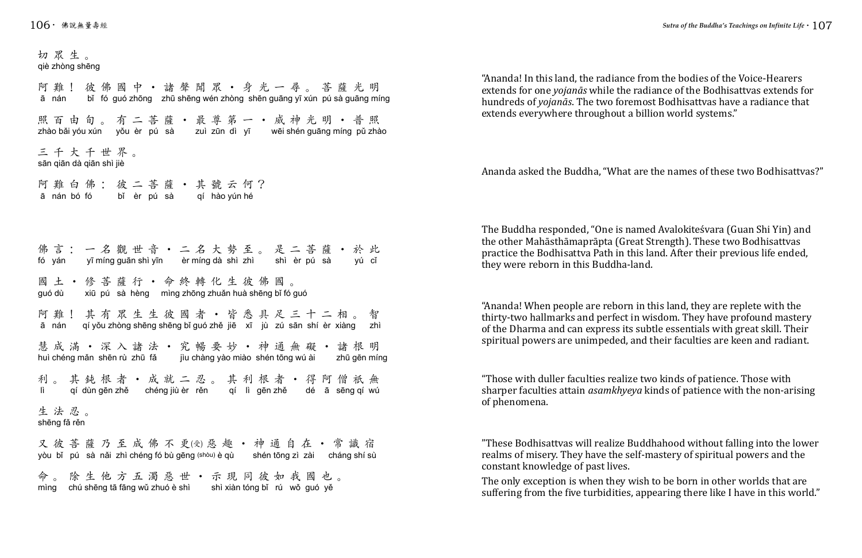"Ananda! In this land, the radiance from the bodies of the Voice-Hearers extends for one *yojanās* while the radiance of the Bodhisattvas extends for hundreds of *yojanās*. The two foremost Bodhisattvas have a radiance that extends everywhere throughout a billion world systems."

Ananda asked the Buddha, "What are the names of these two Bodhisattvas?"

The Buddha responded, "One is named Avalokiteśvara (Guan Shi Yin) and the other Mahāsthāmaprāpta (Great Strength). These two Bodhisattvas practice the Bodhisattva Path in this land. After their previous life ended, they were reborn in this Buddha-land.

切眾生。 阿難! 彼佛國中 • 諸聲聞眾 • 身光一尋。菩薩光明 照百由旬。有二菩薩·最尊第一·威神光明·普照 三千大千世界。 阿難白佛:彼二菩薩•其號云何? 佛言:一名觀世音·二名大勢至。是二菩薩·於此 國土•修菩薩行•命終轉化生彼佛國。 阿難!其有眾生生彼國者•皆悉具足三十二相。智 慧成滿•深入諸法•究暢要妙•神通無礙•諸根明 利。其鈍根者•成就二忍。其利根者•得阿僧祇無 生法忍。 又彼菩薩乃至成佛不更(受) 惡趣·神通自在·常識宿 命。除生他方五濁惡世•示現同彼如我國也。 qiè zhòng shēng bǐ fó guó zhōng zhū shēng wén zhòng shēn guāng yī xún pú sà guāng míng zhào bǎi yóu xún yǒu èr pú sà zuì zūn dì yī wēi shén guāng míng pǔ zhào sān qiān dà qiān shì jiè ā nán bó fó bǐ èr pú sà qí hào yún hé fó yán yī míng guān shì yīn èr míng dà shì zhì shì èr pú sà yú cǐ guó dù xiū pú sà hèng mìng zhōng zhuǎn huà shēng bǐ fó guó ā nán qí yǒu zhòng shēng shēng bǐ guó zhě jiē xī jù zú sān shí èr xiàng zhì huì chéng mǎn shēn rù zhū fǎ jìu chàng yào miào shén tōng wú ài zhū gēn míng lì qí dùn gēn zhě chéng jiù èr rěn qí lì gēn zhě dé ā sēng qí wú shēng fǎ rěn yòu bǐ pú sà nǎi zhì chéng fó bù gēng (shòu) è qù shén tōng zì zài cháng shí sù mìng chú shēng tā fāng wǔ zhuó è shì shì xiàn tóng bǐ rú wǒ guó yě

"Ananda! When people are reborn in this land, they are replete with the thirty-two hallmarks and perfect in wisdom. They have profound mastery of the Dharma and can express its subtle essentials with great skill. Their spiritual powers are unimpeded, and their faculties are keen and radiant.

"Those with duller faculties realize two kinds of patience. Those with sharper faculties attain *asamkhyeya* kinds of patience with the non-arising of phenomena.

"These Bodhisattvas will realize Buddhahood without falling into the lower realms of misery. They have the self-mastery of spiritual powers and the constant knowledge of past lives.

The only exception is when they wish to be born in other worlds that are suffering from the five turbidities, appearing there like I have in this world."